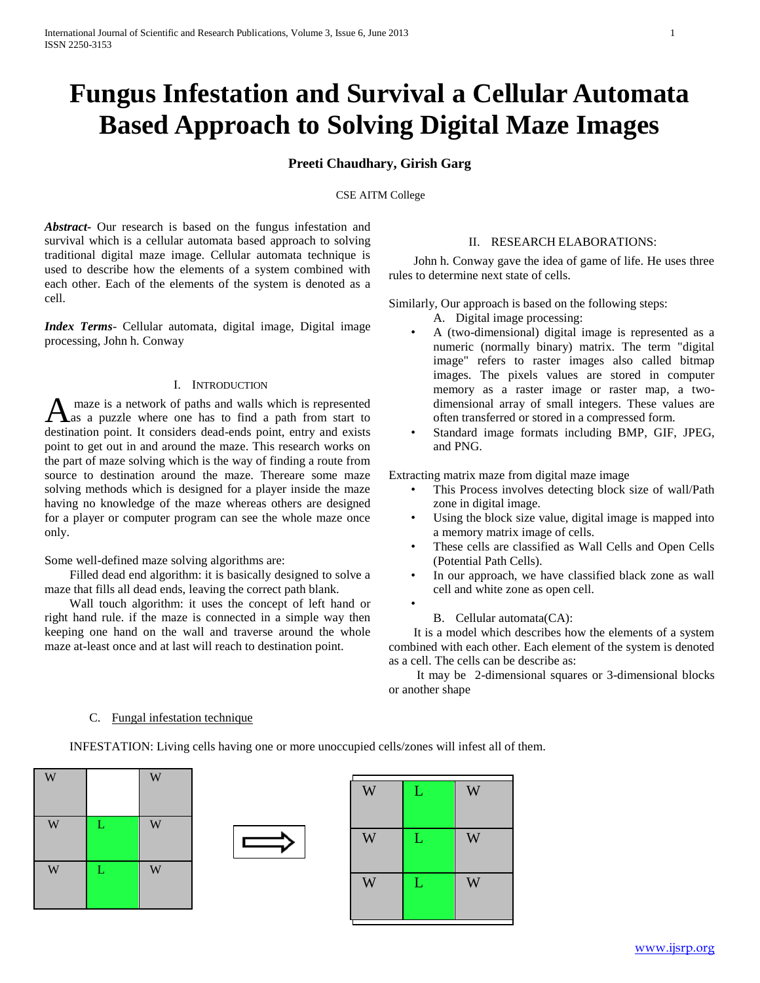# **Fungus Infestation and Survival a Cellular Automata Based Approach to Solving Digital Maze Images**

# **Preeti Chaudhary, Girish Garg**

## CSE AITM College

*Abstract***-** Our research is based on the fungus infestation and survival which is a cellular automata based approach to solving traditional digital maze image. Cellular automata technique is used to describe how the elements of a system combined with each other. Each of the elements of the system is denoted as a cell.

*Index Terms*- Cellular automata, digital image, Digital image processing, John h. Conway

## I. INTRODUCTION

maze is a network of paths and walls which is represented A maze is a network of paths and walls which is represented<br>as a puzzle where one has to find a path from start to destination point. It considers dead-ends point, entry and exists point to get out in and around the maze. This research works on the part of maze solving which is the way of finding a route from source to destination around the maze. Thereare some maze solving methods which is designed for a player inside the maze having no knowledge of the maze whereas others are designed for a player or computer program can see the whole maze once only.

Some well-defined maze solving algorithms are:

 Filled dead end algorithm: it is basically designed to solve a maze that fills all dead ends, leaving the correct path blank.

 Wall touch algorithm: it uses the concept of left hand or right hand rule. if the maze is connected in a simple way then keeping one hand on the wall and traverse around the whole maze at-least once and at last will reach to destination point.

## II. RESEARCH ELABORATIONS:

 John h. Conway gave the idea of game of life. He uses three rules to determine next state of cells.

Similarly, Our approach is based on the following steps:

- A. Digital image processing:
- A (two-dimensional) digital image is represented as a numeric (normally binary) matrix. The term "digital image" refers to raster images also called bitmap images. The pixels values are stored in computer memory as a raster image or raster map, a twodimensional array of small integers. These values are often transferred or stored in a compressed form.
- Standard image formats including BMP, GIF, JPEG, and PNG.

Extracting matrix maze from digital maze image

- This Process involves detecting block size of wall/Path zone in digital image.
- Using the block size value, digital image is mapped into a memory matrix image of cells.
- These cells are classified as Wall Cells and Open Cells (Potential Path Cells).
- In our approach, we have classified black zone as wall cell and white zone as open cell.
- •

## B. Cellular automata(CA):

 It is a model which describes how the elements of a system combined with each other. Each element of the system is denoted as a cell. The cells can be describe as:

 It may be 2-dimensional squares or 3-dimensional blocks or another shape

#### C. Fungal infestation technique

INFESTATION: Living cells having one or more unoccupied cells/zones will infest all of them.





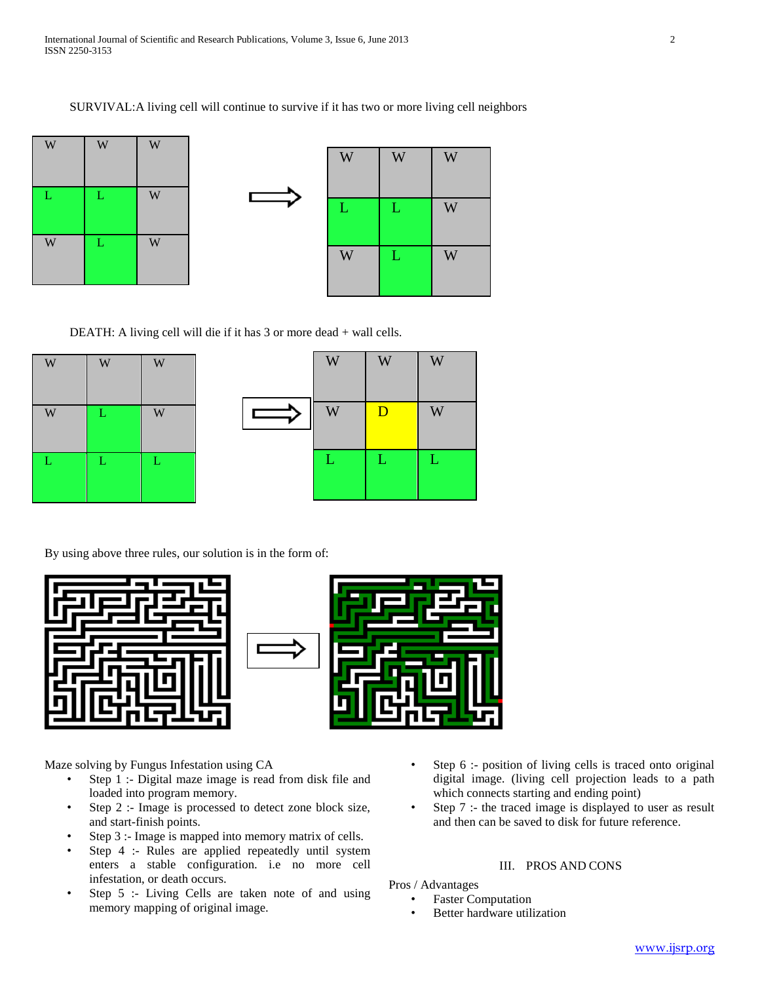



DEATH: A living cell will die if it has 3 or more dead + wall cells.

| W | W           | W            |
|---|-------------|--------------|
| W | $\mathbf L$ | W            |
| L | $\mathbf L$ | $\mathbf{L}$ |

| W            | W              | W |
|--------------|----------------|---|
| W            | $\overline{D}$ | W |
| $\mathbf{L}$ | L              | L |

By using above three rules, our solution is in the form of:





Maze solving by Fungus Infestation using CA

- Step 1 :- Digital maze image is read from disk file and loaded into program memory.
- Step 2 :- Image is processed to detect zone block size, and start-finish points.
- Step 3 :- Image is mapped into memory matrix of cells.
- Step 4 :- Rules are applied repeatedly until system enters a stable configuration. i.e no more cell infestation, or death occurs.
- Step 5 :- Living Cells are taken note of and using memory mapping of original image.
- Step 6 :- position of living cells is traced onto original digital image. (living cell projection leads to a path which connects starting and ending point)
- Step 7 :- the traced image is displayed to user as result and then can be saved to disk for future reference.

## III. PROS AND CONS

Pros / Advantages

- **Faster Computation**
- Better hardware utilization